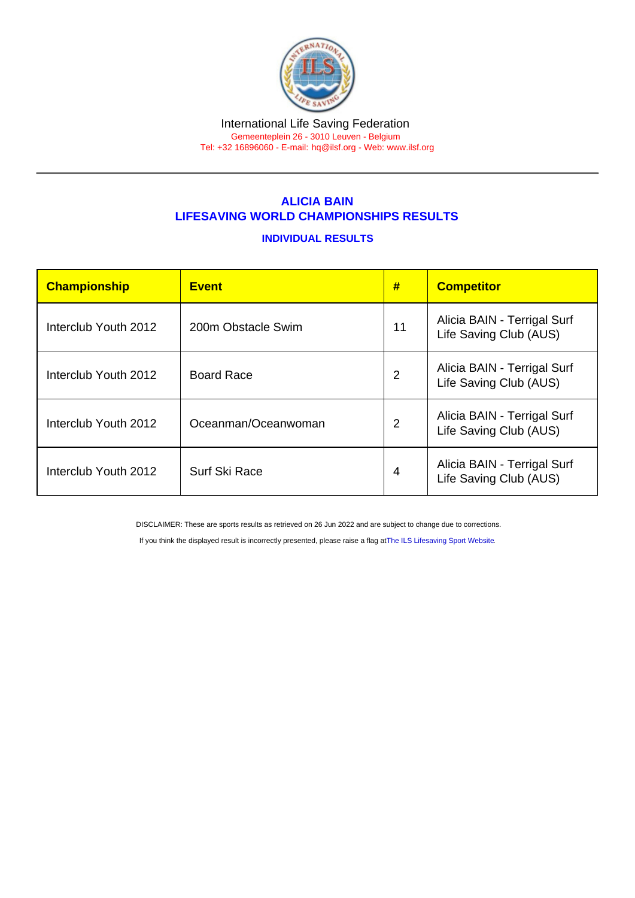#### International Life Saving Federation Gemeenteplein 26 - 3010 Leuven - Belgium

Tel: +32 16896060 - E-mail: [hq@ilsf.org](mailto:hq@ilsf.org) - Web: [www.ilsf.org](https://www.ilsf.org)

# ALICIA BAIN LIFESAVING WORLD CHAMPIONSHIPS RESULTS

## INDIVIDUAL RESULTS

| Championship         | <b>Event</b>         | #  | <b>Competitor</b>                                     |
|----------------------|----------------------|----|-------------------------------------------------------|
| Interclub Youth 2012 | 200m Obstacle Swim   | 11 | Alicia BAIN - Terrigal Surf<br>Life Saving Club (AUS) |
| Interclub Youth 2012 | <b>Board Race</b>    | 2  | Alicia BAIN - Terrigal Surf<br>Life Saving Club (AUS) |
| Interclub Youth 2012 | Oceanman/Oceanwoman  | 2  | Alicia BAIN - Terrigal Surf<br>Life Saving Club (AUS) |
| Interclub Youth 2012 | <b>Surf Ski Race</b> | 4  | Alicia BAIN - Terrigal Surf<br>Life Saving Club (AUS) |

DISCLAIMER: These are sports results as retrieved on 26 Jun 2022 and are subject to change due to corrections.

If you think the displayed result is incorrectly presented, please raise a flag at [The ILS Lifesaving Sport Website.](https://sport.ilsf.org)